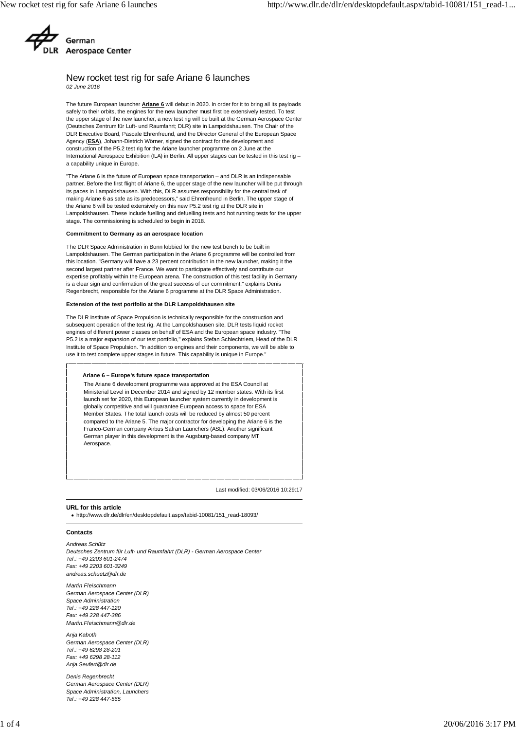

# New rocket test rig for safe Ariane 6 launches *02 June 2016*

The future European launcher **Ariane 6** will debut in 2020. In order for it to bring all its payloads safely to their orbits, the engines for the new launcher must first be extensively tested. To test the upper stage of the new launcher, a new test rig will be built at the German Aerospace Center (Deutsches Zentrum für Luft- und Raumfahrt; DLR) site in Lampoldshausen. The Chair of the DLR Executive Board, Pascale Ehrenfreund, and the Director General of the European Space Agency (**ESA**), Johann-Dietrich Wörner, signed the contract for the development and construction of the P5.2 test rig for the Ariane launcher programme on 2 June at the International Aerospace Exhibition (ILA) in Berlin. All upper stages can be tested in this test rig a capability unique in Europe.

"The Ariane 6 is the future of European space transportation – and DLR is an indispensable partner. Before the first flight of Ariane 6, the upper stage of the new launcher will be put through its paces in Lampoldshausen. With this, DLR assumes responsibility for the central task of making Ariane 6 as safe as its predecessors," said Ehrenfreund in Berlin. The upper stage of the Ariane 6 will be tested extensively on this new P5.2 test rig at the DLR site in Lampoldshausen. These include fuelling and defuelling tests and hot running tests for the upper stage. The commissioning is scheduled to begin in 2018.

#### **Commitment to Germany as an aerospace location**

The DLR Space Administration in Bonn lobbied for the new test bench to be built in Lampoldshausen. The German participation in the Ariane 6 programme will be controlled from this location. "Germany will have a 23 percent contribution in the new launcher, making it the second largest partner after France. We want to participate effectively and contribute our expertise profitably within the European arena. The construction of this test facility in Germany is a clear sign and confirmation of the great success of our commitment," explains Denis Regenbrecht, responsible for the Ariane 6 programme at the DLR Space Administration.

#### **Extension of the test portfolio at the DLR Lampoldshausen site**

The DLR Institute of Space Propulsion is technically responsible for the construction and subsequent operation of the test rig. At the Lampoldshausen site, DLR tests liquid rocket engines of different power classes on behalf of ESA and the European space industry. "The P5.2 is a major expansion of our test portfolio," explains Stefan Schlechtriem, Head of the DLR Institute of Space Propulsion. "In addition to engines and their components, we will be able to use it to test complete upper stages in future. This capability is unique in Europe."

#### **Ariane 6 – Europe's future space transportation**

The Ariane 6 development programme was approved at the ESA Council at Ministerial Level in December 2014 and signed by 12 member states. With its first launch set for 2020, this European launcher system currently in development is globally competitive and will guarantee European access to space for ESA Member States. The total launch costs will be reduced by almost 50 percent compared to the Ariane 5. The major contractor for developing the Ariane 6 is the Franco-German company Airbus Safran Launchers (ASL). Another significant German player in this development is the Augsburg-based company MT Aerospace.

Last modified: 03/06/2016 10:29:17

### **URL for this article**

http://www.dlr.de/dlr/en/desktopdefault.aspx/tabid-10081/151\_read-18093/

### **Contacts**

*Andreas Schütz Deutsches Zentrum für Luft- und Raumfahrt (DLR) - German Aerospace Center Tel.: +49 2203 601-2474 Fax: +49 2203 601-3249 andreas.schuetz@dlr.de*

*Martin Fleischmann German Aerospace Center (DLR) Space Administration Tel.: +49 228 447-120 Fax: +49 228 447-386 Martin.Fleischmann@dlr.de*

*Anja Kaboth German Aerospace Center (DLR) Tel.: +49 6298 28-201 Fax: +49 6298 28-112 Anja.Seufert@dlr.de*

*Denis Regenbrecht German Aerospace Center (DLR) Space Administration, Launchers Tel.: +49 228 447-565*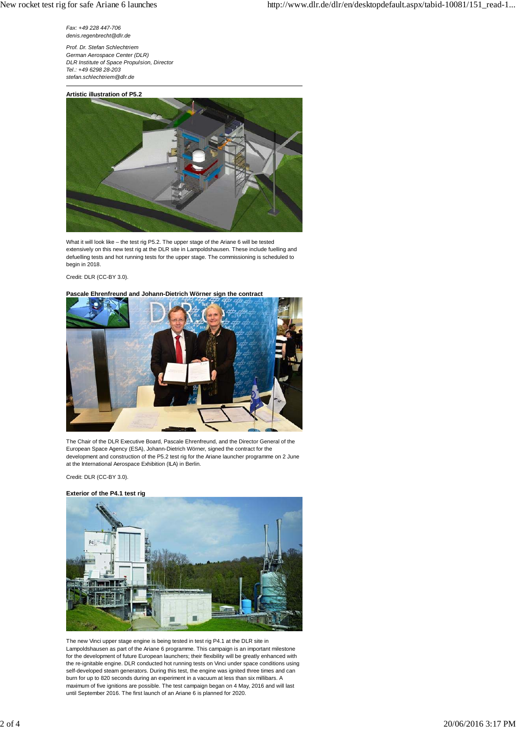*Fax: +49 228 447-706 denis.regenbrecht@dlr.de*

*Prof. Dr. Stefan Schlechtriem German Aerospace Center (DLR) DLR Institute of Space Propulsion, Director Tel.: +49 6298 28-203 stefan.schlechtriem@dlr.de*





What it will look like – the test rig P5.2. The upper stage of the Ariane 6 will be tested extensively on this new test rig at the DLR site in Lampoldshausen. These include fuelling and defuelling tests and hot running tests for the upper stage. The commissioning is scheduled to begin in 2018.

### Credit: DLR (CC-BY 3.0).

## **Pascale Ehrenfreund and Johann-Dietrich Wörner sign the contract**



The Chair of the DLR Executive Board, Pascale Ehrenfreund, and the Director General of the European Space Agency (ESA), Johann-Dietrich Wörner, signed the contract for the development and construction of the P5.2 test rig for the Ariane launcher programme on 2 June at the International Aerospace Exhibition (ILA) in Berlin.

Credit: DLR (CC-BY 3.0).

## **Exterior of the P4.1 test rig**



The new Vinci upper stage engine is being tested in test rig P4.1 at the DLR site in Lampoldshausen as part of the Ariane 6 programme. This campaign is an important milestone for the development of future European launchers; their flexibility will be greatly enhanced with the re-ignitable engine. DLR conducted hot running tests on Vinci under space conditions using self-developed steam generators. During this test, the engine was ignited three times and can burn for up to 820 seconds during an experiment in a vacuum at less than six millibars. A maximum of five ignitions are possible. The test campaign began on 4 May, 2016 and will last until September 2016. The first launch of an Ariane 6 is planned for 2020.